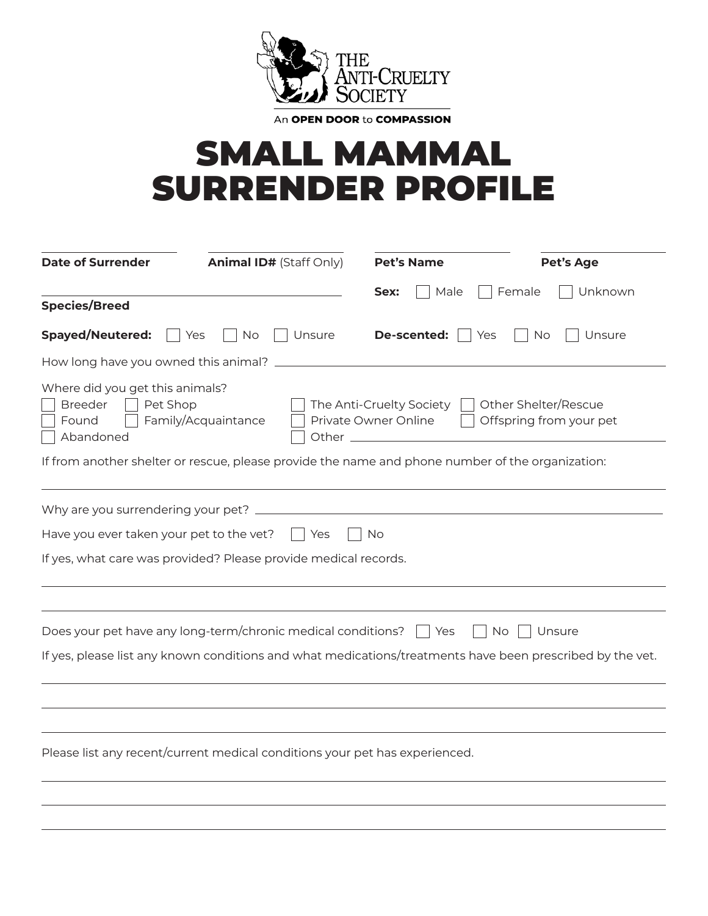

An OPEN DOOR to COMPASSION

## SMALL MAMMAL SURRENDER PROFILE

| <b>Date of Surrender</b>                                                            | <b>Animal ID# (Staff Only)</b>                                                                   | <b>Pet's Name</b>                                | <b>Pet's Age</b>                                                                                          |
|-------------------------------------------------------------------------------------|--------------------------------------------------------------------------------------------------|--------------------------------------------------|-----------------------------------------------------------------------------------------------------------|
| <b>Species/Breed</b>                                                                |                                                                                                  | Male<br>Sex:                                     | Unknown<br>Female                                                                                         |
| <b>Spayed/Neutered:</b>                                                             | No<br>Unsure<br>Yes                                                                              | De-scented:                                      | Yes<br>No<br>Unsure                                                                                       |
| How long have you owned this animal? _                                              |                                                                                                  |                                                  |                                                                                                           |
| Where did you get this animals?<br><b>Breeder</b><br>Pet Shop<br>Found<br>Abandoned | Family/Acquaintance<br>Other $\overline{\phantom{0}}$                                            | The Anti-Cruelty Society<br>Private Owner Online | Other Shelter/Rescue<br>Offspring from your pet                                                           |
|                                                                                     | If from another shelter or rescue, please provide the name and phone number of the organization: |                                                  |                                                                                                           |
| Why are you surrendering your pet? _                                                |                                                                                                  |                                                  |                                                                                                           |
| Have you ever taken your pet to the vet?                                            | Yes                                                                                              | No.                                              |                                                                                                           |
|                                                                                     | If yes, what care was provided? Please provide medical records.                                  |                                                  |                                                                                                           |
|                                                                                     |                                                                                                  |                                                  |                                                                                                           |
|                                                                                     | Does your pet have any long-term/chronic medical conditions?                                     | ∣ Yes                                            | No<br>Unsure                                                                                              |
|                                                                                     |                                                                                                  |                                                  | If yes, please list any known conditions and what medications/treatments have been prescribed by the vet. |
|                                                                                     |                                                                                                  |                                                  |                                                                                                           |
|                                                                                     |                                                                                                  |                                                  |                                                                                                           |
|                                                                                     | Please list any recent/current medical conditions your pet has experienced.                      |                                                  |                                                                                                           |
|                                                                                     |                                                                                                  |                                                  |                                                                                                           |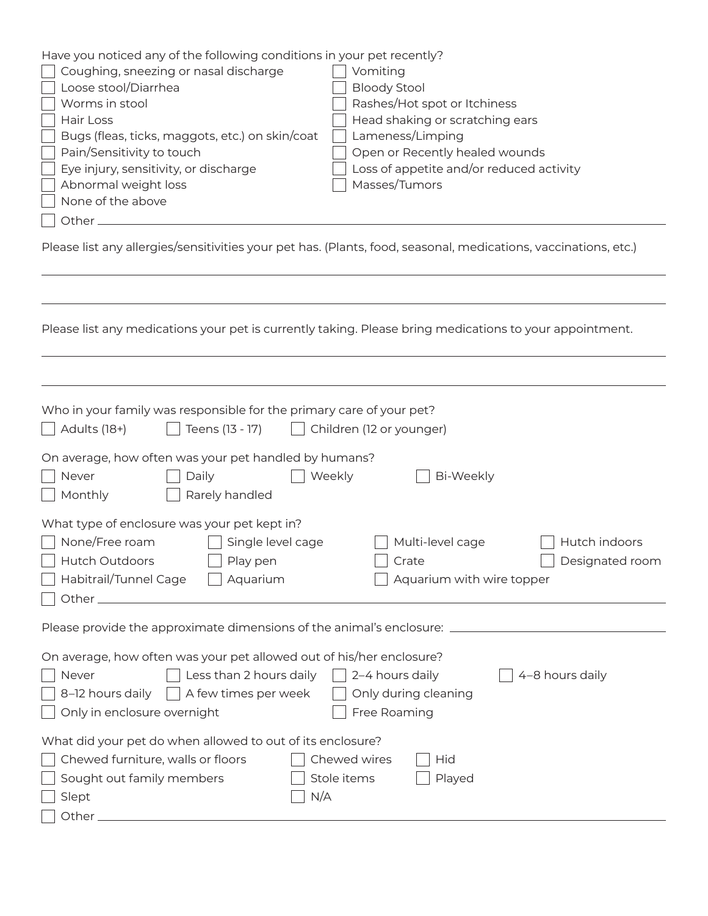| Have you noticed any of the following conditions in your pet recently?<br>Coughing, sneezing or nasal discharge<br>Vomiting<br>Loose stool/Diarrhea<br><b>Bloody Stool</b><br>Worms in stool<br>Rashes/Hot spot or Itchiness<br>Head shaking or scratching ears<br>Hair Loss<br>Lameness/Limping<br>Bugs (fleas, ticks, maggots, etc.) on skin/coat<br>Open or Recently healed wounds<br>Pain/Sensitivity to touch<br>Eye injury, sensitivity, or discharge<br>Loss of appetite and/or reduced activity<br>Abnormal weight loss<br>Masses/Tumors<br>None of the above<br>Other_ |  |  |  |  |  |
|---------------------------------------------------------------------------------------------------------------------------------------------------------------------------------------------------------------------------------------------------------------------------------------------------------------------------------------------------------------------------------------------------------------------------------------------------------------------------------------------------------------------------------------------------------------------------------|--|--|--|--|--|
| Please list any allergies/sensitivities your pet has. (Plants, food, seasonal, medications, vaccinations, etc.)                                                                                                                                                                                                                                                                                                                                                                                                                                                                 |  |  |  |  |  |
|                                                                                                                                                                                                                                                                                                                                                                                                                                                                                                                                                                                 |  |  |  |  |  |
|                                                                                                                                                                                                                                                                                                                                                                                                                                                                                                                                                                                 |  |  |  |  |  |
| Please list any medications your pet is currently taking. Please bring medications to your appointment.                                                                                                                                                                                                                                                                                                                                                                                                                                                                         |  |  |  |  |  |
|                                                                                                                                                                                                                                                                                                                                                                                                                                                                                                                                                                                 |  |  |  |  |  |
| Who in your family was responsible for the primary care of your pet?<br>Adults (18+)<br>Teens (13 - 17)<br>Children (12 or younger)                                                                                                                                                                                                                                                                                                                                                                                                                                             |  |  |  |  |  |
| On average, how often was your pet handled by humans?<br>Never<br>Weekly<br>Bi-Weekly<br>Daily<br>Monthly<br>Rarely handled                                                                                                                                                                                                                                                                                                                                                                                                                                                     |  |  |  |  |  |
| What type of enclosure was your pet kept in?<br>None/Free roam<br>Single level cage<br>Multi-level cage<br>Hutch indoors<br>Crate                                                                                                                                                                                                                                                                                                                                                                                                                                               |  |  |  |  |  |
| Hutch Outdoors<br>Play pen<br>Designated room<br>Habitrail/Tunnel Cage   Aquarium<br>Aquarium with wire topper                                                                                                                                                                                                                                                                                                                                                                                                                                                                  |  |  |  |  |  |
|                                                                                                                                                                                                                                                                                                                                                                                                                                                                                                                                                                                 |  |  |  |  |  |
| On average, how often was your pet allowed out of his/her enclosure?<br>Less than 2 hours daily<br>2-4 hours daily<br>4-8 hours daily<br>Never<br>A few times per week<br>8-12 hours daily<br>Only during cleaning<br>Free Roaming<br>Only in enclosure overnight                                                                                                                                                                                                                                                                                                               |  |  |  |  |  |
| What did your pet do when allowed to out of its enclosure?<br>Chewed furniture, walls or floors<br>Chewed wires<br>Hid<br>Sought out family members<br>Stole items<br>Played<br>N/A<br>Slept<br>Other_                                                                                                                                                                                                                                                                                                                                                                          |  |  |  |  |  |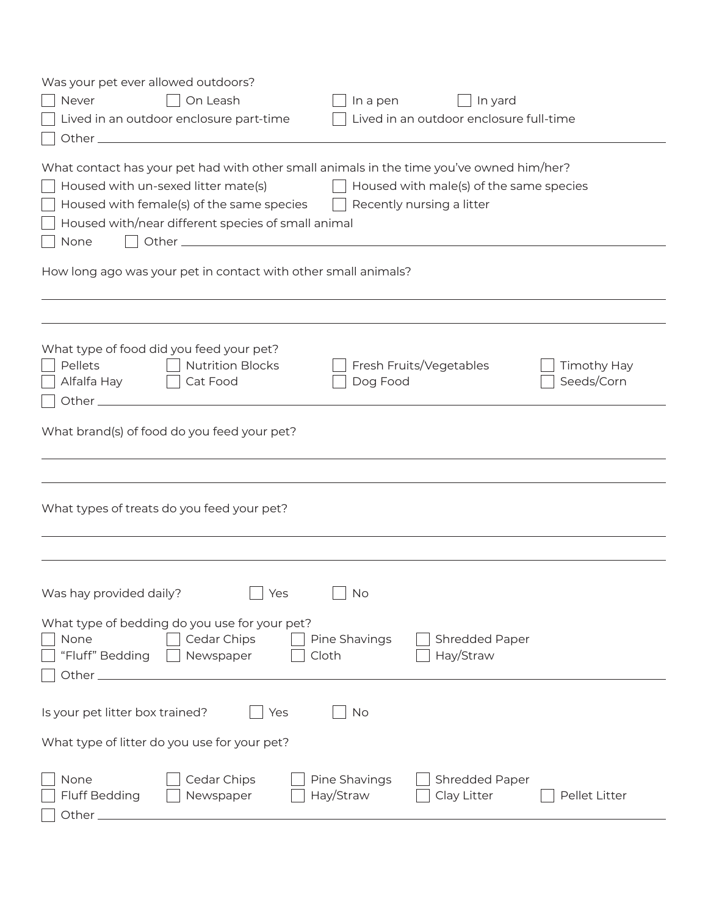| Was your pet ever allowed outdoors?                                                            |                                                             |               |  |  |  |  |
|------------------------------------------------------------------------------------------------|-------------------------------------------------------------|---------------|--|--|--|--|
| On Leash<br>Never                                                                              | In yard<br>In a pen                                         |               |  |  |  |  |
| Lived in an outdoor enclosure part-time                                                        | Lived in an outdoor enclosure full-time                     |               |  |  |  |  |
|                                                                                                |                                                             |               |  |  |  |  |
|                                                                                                |                                                             |               |  |  |  |  |
| What contact has your pet had with other small animals in the time you've owned him/her?       |                                                             |               |  |  |  |  |
| Housed with un-sexed litter mate(s)<br>Housed with male(s) of the same species<br>$\mathbf{1}$ |                                                             |               |  |  |  |  |
| Housed with female(s) of the same species<br>Recently nursing a litter                         |                                                             |               |  |  |  |  |
| Housed with/near different species of small animal                                             |                                                             |               |  |  |  |  |
| None                                                                                           |                                                             |               |  |  |  |  |
| How long ago was your pet in contact with other small animals?                                 |                                                             |               |  |  |  |  |
|                                                                                                |                                                             |               |  |  |  |  |
|                                                                                                |                                                             |               |  |  |  |  |
|                                                                                                |                                                             |               |  |  |  |  |
| What type of food did you feed your pet?                                                       |                                                             |               |  |  |  |  |
| <b>Nutrition Blocks</b><br>Pellets                                                             | Fresh Fruits/Vegetables                                     | Timothy Hay   |  |  |  |  |
| Alfalfa Hay<br>Cat Food                                                                        | Dog Food                                                    | Seeds/Corn    |  |  |  |  |
|                                                                                                |                                                             |               |  |  |  |  |
| What brand(s) of food do you feed your pet?                                                    |                                                             |               |  |  |  |  |
|                                                                                                |                                                             |               |  |  |  |  |
|                                                                                                |                                                             |               |  |  |  |  |
| What types of treats do you feed your pet?                                                     |                                                             |               |  |  |  |  |
|                                                                                                |                                                             |               |  |  |  |  |
|                                                                                                |                                                             |               |  |  |  |  |
|                                                                                                |                                                             |               |  |  |  |  |
| Was hay provided daily?<br><b>Nes</b>                                                          | $\Box$ No                                                   |               |  |  |  |  |
|                                                                                                |                                                             |               |  |  |  |  |
| What type of bedding do you use for your pet?                                                  |                                                             |               |  |  |  |  |
| Cedar Chips<br>None                                                                            | Pine Shavings<br>Shredded Paper                             |               |  |  |  |  |
| "Fluff" Bedding<br>Newspaper                                                                   | Hay/Straw<br>Cloth                                          |               |  |  |  |  |
| Other $-$                                                                                      |                                                             |               |  |  |  |  |
|                                                                                                |                                                             |               |  |  |  |  |
| Is your pet litter box trained?<br>Yes                                                         | No                                                          |               |  |  |  |  |
| What type of litter do you use for your pet?                                                   |                                                             |               |  |  |  |  |
|                                                                                                |                                                             |               |  |  |  |  |
|                                                                                                |                                                             |               |  |  |  |  |
| Cedar Chips<br>None<br><b>Fluff Bedding</b><br>Newspaper                                       | Pine Shavings<br>Shredded Paper<br>Hay/Straw<br>Clay Litter | Pellet Litter |  |  |  |  |
| Other $\_$                                                                                     |                                                             |               |  |  |  |  |
|                                                                                                |                                                             |               |  |  |  |  |